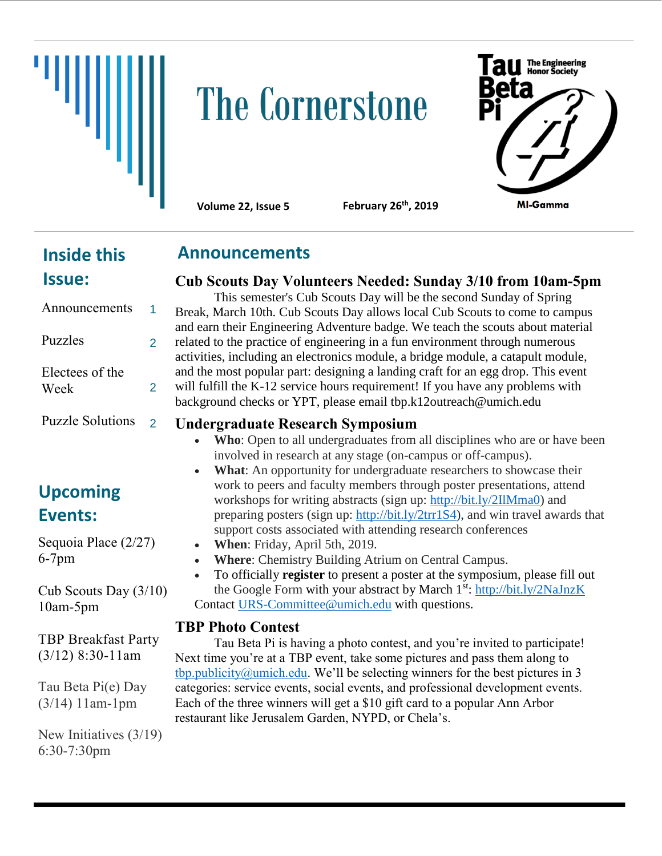

# **The Cornerstone**



**Volume 22, Issue 5 February 26th, 2019**

# **Inside this Issue:**

#### Announcements Puzzles Electees of the Week Puzzle Solutions 1 2 2 2

# **Upcoming Events:**

Sequoia Place (2/27) 6-7pm

Cub Scouts Day (3/10) 10am-5pm

TBP Breakfast Party (3/12) 8:30-11am

Tau Beta Pi(e) Day (3/14) 11am-1pm

New Initiatives (3/19) 6:30-7:30pm

### **Announcements**

# **Cub Scouts Day Volunteers Needed: Sunday 3/10 from 10am-5pm**

This semester's Cub Scouts Day will be the second Sunday of Spring Break, March 10th. Cub Scouts Day allows local Cub Scouts to come to campus and earn their Engineering Adventure badge. We teach the scouts about material related to the practice of engineering in a fun environment through numerous activities, including an electronics module, a bridge module, a catapult module, and the most popular part: designing a landing craft for an egg drop. This event will fulfill the K-12 service hours requirement! If you have any problems with background checks or YPT, please email tbp.k12outreach@umich.edu

#### **Undergraduate Research Symposium**

- **Who**: Open to all undergraduates from all disciplines who are or have been involved in research at any stage (on-campus or off-campus).
- What: An opportunity for undergraduate researchers to showcase their work to peers and faculty members through poster presentations, attend workshops for writing abstracts (sign up: [http://bit.ly/2IlMma0\)](http://bit.ly/2IlMma0) and preparing posters (sign up: [http://bit.ly/2trr1S4\)](http://bit.ly/2trr1S4), and win travel awards that support costs associated with attending research conferences
- **When**: Friday, April 5th, 2019.
- **Where**: Chemistry Building Atrium on Central Campus.
- To officially **register** to present a poster at the symposium, please fill out the Google Form with your abstract by March 1<sup>st</sup>:<http://bit.ly/2NaJnzK> Contact URS-Committee@umich.edu with questions.

#### **TBP Photo Contest**

Tau Beta Pi is having a photo contest, and you're invited to participate! Next time you're at a TBP event, take some pictures and pass them along to [tbp.publicity@umich.edu](mailto:tbp.publicity@umich.edu). We'll be selecting winners for the best pictures in 3 categories: service events, social events, and professional development events. Each of the three winners will get a \$10 gift card to a popular Ann Arbor restaurant like Jerusalem Garden, NYPD, or Chela's.